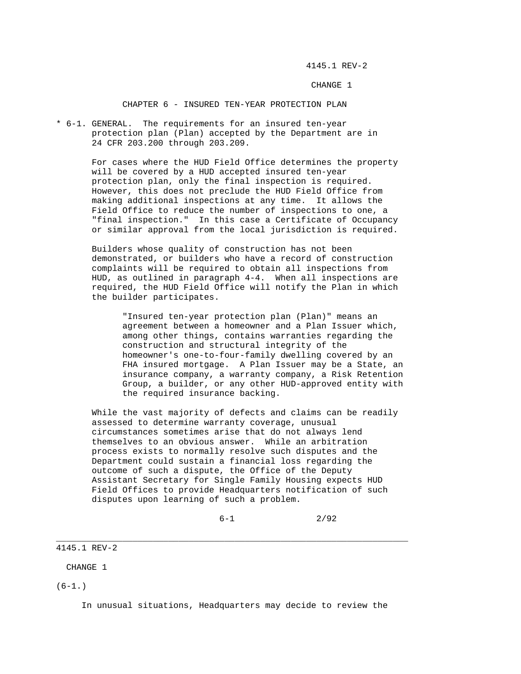4145.1 REV-2

CHANGE 1

CHAPTER 6 - INSURED TEN-YEAR PROTECTION PLAN

\* 6-1. GENERAL. The requirements for an insured ten-year protection plan (Plan) accepted by the Department are in 24 CFR 203.200 through 203.209.

> For cases where the HUD Field Office determines the property will be covered by a HUD accepted insured ten-year protection plan, only the final inspection is required. However, this does not preclude the HUD Field Office from making additional inspections at any time. It allows the Field Office to reduce the number of inspections to one, a "final inspection." In this case a Certificate of Occupancy or similar approval from the local jurisdiction is required.

> Builders whose quality of construction has not been demonstrated, or builders who have a record of construction complaints will be required to obtain all inspections from HUD, as outlined in paragraph 4-4. When all inspections are required, the HUD Field Office will notify the Plan in which the builder participates.

 "Insured ten-year protection plan (Plan)" means an agreement between a homeowner and a Plan Issuer which, among other things, contains warranties regarding the construction and structural integrity of the homeowner's one-to-four-family dwelling covered by an FHA insured mortgage. A Plan Issuer may be a State, an insurance company, a warranty company, a Risk Retention Group, a builder, or any other HUD-approved entity with the required insurance backing.

 While the vast majority of defects and claims can be readily assessed to determine warranty coverage, unusual circumstances sometimes arise that do not always lend themselves to an obvious answer. While an arbitration process exists to normally resolve such disputes and the Department could sustain a financial loss regarding the outcome of such a dispute, the Office of the Deputy Assistant Secretary for Single Family Housing expects HUD Field Offices to provide Headquarters notification of such disputes upon learning of such a problem.

 $6-1$  2/92

4145.1 REV-2

CHANGE 1

 $(6-1.)$ 

In unusual situations, Headquarters may decide to review the

\_\_\_\_\_\_\_\_\_\_\_\_\_\_\_\_\_\_\_\_\_\_\_\_\_\_\_\_\_\_\_\_\_\_\_\_\_\_\_\_\_\_\_\_\_\_\_\_\_\_\_\_\_\_\_\_\_\_\_\_\_\_\_\_\_\_\_\_\_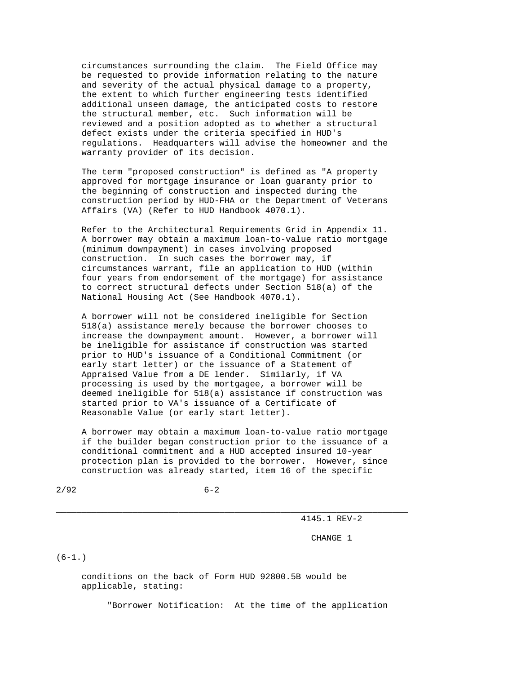circumstances surrounding the claim. The Field Office may be requested to provide information relating to the nature and severity of the actual physical damage to a property, the extent to which further engineering tests identified additional unseen damage, the anticipated costs to restore the structural member, etc. Such information will be reviewed and a position adopted as to whether a structural defect exists under the criteria specified in HUD's regulations. Headquarters will advise the homeowner and the warranty provider of its decision.

 The term "proposed construction" is defined as "A property approved for mortgage insurance or loan guaranty prior to the beginning of construction and inspected during the construction period by HUD-FHA or the Department of Veterans Affairs (VA) (Refer to HUD Handbook 4070.1).

 Refer to the Architectural Requirements Grid in Appendix 11. A borrower may obtain a maximum loan-to-value ratio mortgage (minimum downpayment) in cases involving proposed construction. In such cases the borrower may, if circumstances warrant, file an application to HUD (within four years from endorsement of the mortgage) for assistance to correct structural defects under Section 518(a) of the National Housing Act (See Handbook 4070.1).

 A borrower will not be considered ineligible for Section 518(a) assistance merely because the borrower chooses to increase the downpayment amount. However, a borrower will be ineligible for assistance if construction was started prior to HUD's issuance of a Conditional Commitment (or early start letter) or the issuance of a Statement of Appraised Value from a DE lender. Similarly, if VA processing is used by the mortgagee, a borrower will be deemed ineligible for 518(a) assistance if construction was started prior to VA's issuance of a Certificate of Reasonable Value (or early start letter).

 A borrower may obtain a maximum loan-to-value ratio mortgage if the builder began construction prior to the issuance of a conditional commitment and a HUD accepted insured 10-year protection plan is provided to the borrower. However, since construction was already started, item 16 of the specific

\_\_\_\_\_\_\_\_\_\_\_\_\_\_\_\_\_\_\_\_\_\_\_\_\_\_\_\_\_\_\_\_\_\_\_\_\_\_\_\_\_\_\_\_\_\_\_\_\_\_\_\_\_\_\_\_\_\_\_\_\_\_\_\_\_\_\_\_\_

 $2/92$  6-2

4145.1 REV-2

CHANGE 1

 $(6-1.)$ 

 conditions on the back of Form HUD 92800.5B would be applicable, stating:

"Borrower Notification: At the time of the application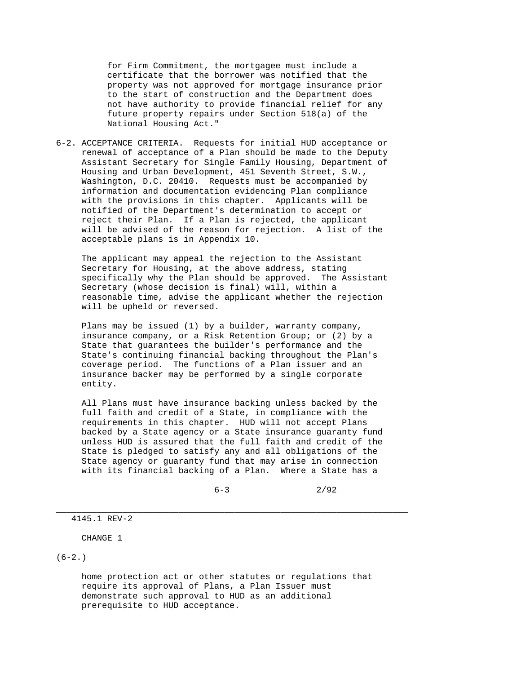for Firm Commitment, the mortgagee must include a certificate that the borrower was notified that the property was not approved for mortgage insurance prior to the start of construction and the Department does not have authority to provide financial relief for any future property repairs under Section 518(a) of the National Housing Act."

6-2. ACCEPTANCE CRITERIA. Requests for initial HUD acceptance or renewal of acceptance of a Plan should be made to the Deputy Assistant Secretary for Single Family Housing, Department of Housing and Urban Development, 451 Seventh Street, S.W., Washington, D.C. 20410. Requests must be accompanied by information and documentation evidencing Plan compliance with the provisions in this chapter. Applicants will be notified of the Department's determination to accept or reject their Plan. If a Plan is rejected, the applicant will be advised of the reason for rejection. A list of the acceptable plans is in Appendix 10.

 The applicant may appeal the rejection to the Assistant Secretary for Housing, at the above address, stating specifically why the Plan should be approved. The Assistant Secretary (whose decision is final) will, within a reasonable time, advise the applicant whether the rejection will be upheld or reversed.

 Plans may be issued (1) by a builder, warranty company, insurance company, or a Risk Retention Group; or (2) by a State that guarantees the builder's performance and the State's continuing financial backing throughout the Plan's coverage period. The functions of a Plan issuer and an insurance backer may be performed by a single corporate entity.

 All Plans must have insurance backing unless backed by the full faith and credit of a State, in compliance with the requirements in this chapter. HUD will not accept Plans backed by a State agency or a State insurance guaranty fund unless HUD is assured that the full faith and credit of the State is pledged to satisfy any and all obligations of the State agency or guaranty fund that may arise in connection with its financial backing of a Plan. Where a State has a

\_\_\_\_\_\_\_\_\_\_\_\_\_\_\_\_\_\_\_\_\_\_\_\_\_\_\_\_\_\_\_\_\_\_\_\_\_\_\_\_\_\_\_\_\_\_\_\_\_\_\_\_\_\_\_\_\_\_\_\_\_\_\_\_\_\_\_\_\_

 $6-3$  2/92

4145.1 REV-2

CHANGE 1

 $(6-2.)$ 

 home protection act or other statutes or regulations that require its approval of Plans, a Plan Issuer must demonstrate such approval to HUD as an additional prerequisite to HUD acceptance.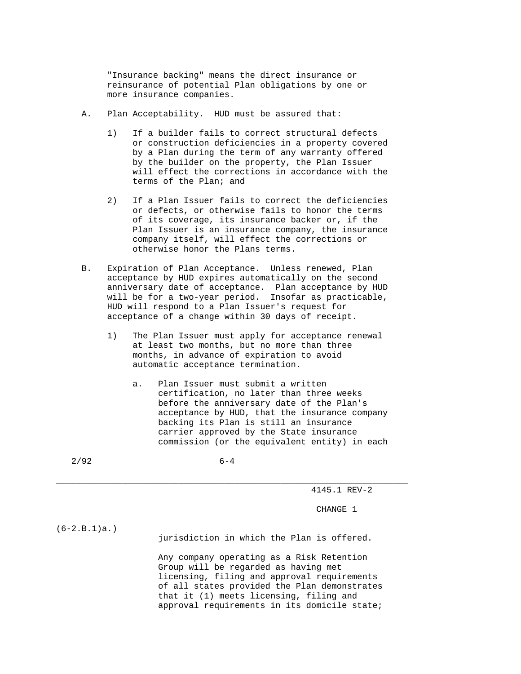"Insurance backing" means the direct insurance or reinsurance of potential Plan obligations by one or more insurance companies.

- A. Plan Acceptability. HUD must be assured that:
	- 1) If a builder fails to correct structural defects or construction deficiencies in a property covered by a Plan during the term of any warranty offered by the builder on the property, the Plan Issuer will effect the corrections in accordance with the terms of the Plan; and
	- 2) If a Plan Issuer fails to correct the deficiencies or defects, or otherwise fails to honor the terms of its coverage, its insurance backer or, if the Plan Issuer is an insurance company, the insurance company itself, will effect the corrections or otherwise honor the Plans terms.
- B. Expiration of Plan Acceptance. Unless renewed, Plan acceptance by HUD expires automatically on the second anniversary date of acceptance. Plan acceptance by HUD will be for a two-year period. Insofar as practicable, HUD will respond to a Plan Issuer's request for acceptance of a change within 30 days of receipt.
	- 1) The Plan Issuer must apply for acceptance renewal at least two months, but no more than three months, in advance of expiration to avoid automatic acceptance termination.
		- a. Plan Issuer must submit a written certification, no later than three weeks before the anniversary date of the Plan's acceptance by HUD, that the insurance company backing its Plan is still an insurance carrier approved by the State insurance commission (or the equivalent entity) in each
- 2/92 6-4

\_\_\_\_\_\_\_\_\_\_\_\_\_\_\_\_\_\_\_\_\_\_\_\_\_\_\_\_\_\_\_\_\_\_\_\_\_\_\_\_\_\_\_\_\_\_\_\_\_\_\_\_\_\_\_\_\_\_\_\_\_\_\_\_\_\_\_\_\_

4145.1 REV-2

CHANGE 1

(6-2.B.1)a.)

jurisdiction in which the Plan is offered.

 Any company operating as a Risk Retention Group will be regarded as having met licensing, filing and approval requirements of all states provided the Plan demonstrates that it (1) meets licensing, filing and approval requirements in its domicile state;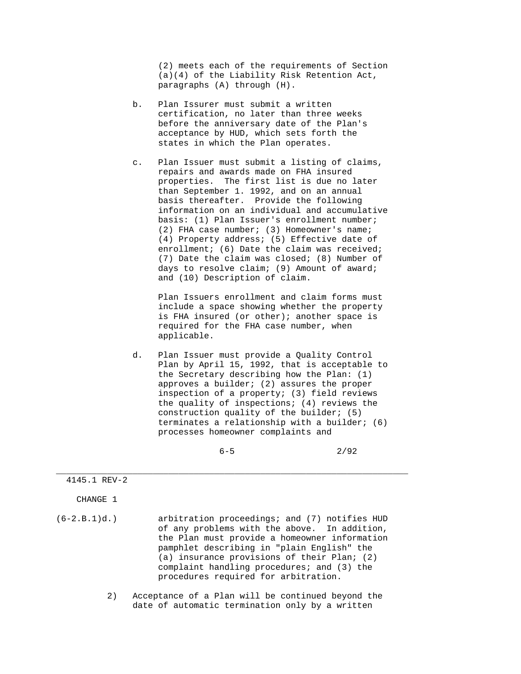(2) meets each of the requirements of Section (a)(4) of the Liability Risk Retention Act, paragraphs (A) through (H).

- b. Plan Issurer must submit a written certification, no later than three weeks before the anniversary date of the Plan's acceptance by HUD, which sets forth the states in which the Plan operates.
- c. Plan Issuer must submit a listing of claims, repairs and awards made on FHA insured properties. The first list is due no later than September 1. 1992, and on an annual basis thereafter. Provide the following information on an individual and accumulative basis: (1) Plan Issuer's enrollment number; (2) FHA case number; (3) Homeowner's name; (4) Property address; (5) Effective date of enrollment; (6) Date the claim was received; (7) Date the claim was closed; (8) Number of days to resolve claim; (9) Amount of award; and (10) Description of claim.

 Plan Issuers enrollment and claim forms must include a space showing whether the property is FHA insured (or other); another space is required for the FHA case number, when applicable.

 d. Plan Issuer must provide a Quality Control Plan by April 15, 1992, that is acceptable to the Secretary describing how the Plan: (1) approves a builder; (2) assures the proper inspection of a property; (3) field reviews the quality of inspections; (4) reviews the construction quality of the builder; (5) terminates a relationship with a builder; (6) processes homeowner complaints and

 $6-5$  2/92

## 4145.1 REV-2

CHANGE 1

(6-2.B.1)d.) arbitration proceedings; and (7) notifies HUD of any problems with the above. In addition, the Plan must provide a homeowner information pamphlet describing in "plain English" the (a) insurance provisions of their Plan; (2) complaint handling procedures; and (3) the procedures required for arbitration.

\_\_\_\_\_\_\_\_\_\_\_\_\_\_\_\_\_\_\_\_\_\_\_\_\_\_\_\_\_\_\_\_\_\_\_\_\_\_\_\_\_\_\_\_\_\_\_\_\_\_\_\_\_\_\_\_\_\_\_\_\_\_\_\_\_\_\_\_\_

 2) Acceptance of a Plan will be continued beyond the date of automatic termination only by a written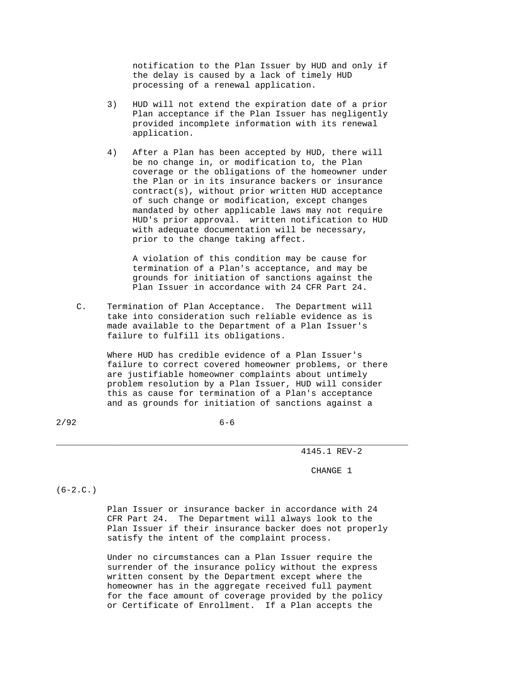notification to the Plan Issuer by HUD and only if the delay is caused by a lack of timely HUD processing of a renewal application.

- 3) HUD will not extend the expiration date of a prior Plan acceptance if the Plan Issuer has negligently provided incomplete information with its renewal application.
- 4) After a Plan has been accepted by HUD, there will be no change in, or modification to, the Plan coverage or the obligations of the homeowner under the Plan or in its insurance backers or insurance contract(s), without prior written HUD acceptance of such change or modification, except changes mandated by other applicable laws may not require HUD's prior approval. written notification to HUD with adequate documentation will be necessary, prior to the change taking affect.

 A violation of this condition may be cause for termination of a Plan's acceptance, and may be grounds for initiation of sanctions against the Plan Issuer in accordance with 24 CFR Part 24.

 C. Termination of Plan Acceptance. The Department will take into consideration such reliable evidence as is made available to the Department of a Plan Issuer's failure to fulfill its obligations.

> Where HUD has credible evidence of a Plan Issuer's failure to correct covered homeowner problems, or there are justifiable homeowner complaints about untimely problem resolution by a Plan Issuer, HUD will consider this as cause for termination of a Plan's acceptance and as grounds for initiation of sanctions against a

\_\_\_\_\_\_\_\_\_\_\_\_\_\_\_\_\_\_\_\_\_\_\_\_\_\_\_\_\_\_\_\_\_\_\_\_\_\_\_\_\_\_\_\_\_\_\_\_\_\_\_\_\_\_\_\_\_\_\_\_\_\_\_\_\_\_\_\_\_

4145.1 REV-2

CHANGE 1

 $(6-2.C.)$ 

 Plan Issuer or insurance backer in accordance with 24 CFR Part 24. The Department will always look to the Plan Issuer if their insurance backer does not properly satisfy the intent of the complaint process.

 Under no circumstances can a Plan Issuer require the surrender of the insurance policy without the express written consent by the Department except where the homeowner has in the aggregate received full payment for the face amount of coverage provided by the policy or Certificate of Enrollment. If a Plan accepts the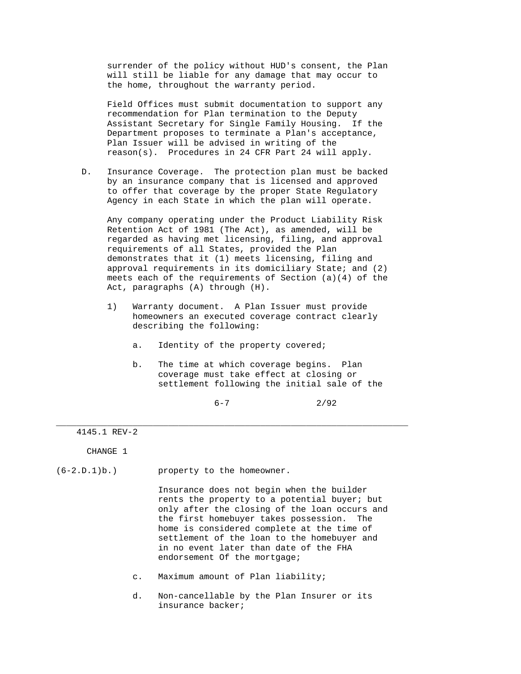surrender of the policy without HUD's consent, the Plan will still be liable for any damage that may occur to the home, throughout the warranty period.

 Field Offices must submit documentation to support any recommendation for Plan termination to the Deputy Assistant Secretary for Single Family Housing. If the Department proposes to terminate a Plan's acceptance, Plan Issuer will be advised in writing of the reason(s). Procedures in 24 CFR Part 24 will apply.

 D. Insurance Coverage. The protection plan must be backed by an insurance company that is licensed and approved to offer that coverage by the proper State Regulatory Agency in each State in which the plan will operate.

 Any company operating under the Product Liability Risk Retention Act of 1981 (The Act), as amended, will be regarded as having met licensing, filing, and approval requirements of all States, provided the Plan demonstrates that it (1) meets licensing, filing and approval requirements in its domiciliary State; and (2) meets each of the requirements of Section (a)(4) of the Act, paragraphs (A) through (H).

- 1) Warranty document. A Plan Issuer must provide homeowners an executed coverage contract clearly describing the following:
	- a. Identity of the property covered;

\_\_\_\_\_\_\_\_\_\_\_\_\_\_\_\_\_\_\_\_\_\_\_\_\_\_\_\_\_\_\_\_\_\_\_\_\_\_\_\_\_\_\_\_\_\_\_\_\_\_\_\_\_\_\_\_\_\_\_\_\_\_\_\_\_\_\_\_\_

 b. The time at which coverage begins. Plan coverage must take effect at closing or settlement following the initial sale of the

 $6-7$  2/92

4145.1 REV-2

CHANGE 1

(6-2.D.1)b.) property to the homeowner.

 Insurance does not begin when the builder rents the property to a potential buyer; but only after the closing of the loan occurs and the first homebuyer takes possession. The home is considered complete at the time of settlement of the loan to the homebuyer and in no event later than date of the FHA endorsement Of the mortgage;

- c. Maximum amount of Plan liability;
- d. Non-cancellable by the Plan Insurer or its insurance backer;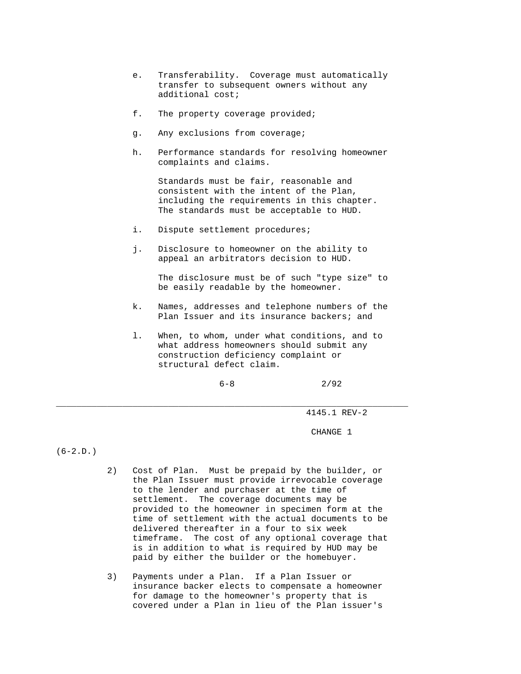- e. Transferability. Coverage must automatically transfer to subsequent owners without any additional cost;
- f. The property coverage provided;
- g. Any exclusions from coverage;
- h. Performance standards for resolving homeowner complaints and claims.

 Standards must be fair, reasonable and consistent with the intent of the Plan, including the requirements in this chapter. The standards must be acceptable to HUD.

- i. Dispute settlement procedures;
- j. Disclosure to homeowner on the ability to appeal an arbitrators decision to HUD.

 The disclosure must be of such "type size" to be easily readable by the homeowner.

- k. Names, addresses and telephone numbers of the Plan Issuer and its insurance backers; and
- l. When, to whom, under what conditions, and to what address homeowners should submit any construction deficiency complaint or structural defect claim.

\_\_\_\_\_\_\_\_\_\_\_\_\_\_\_\_\_\_\_\_\_\_\_\_\_\_\_\_\_\_\_\_\_\_\_\_\_\_\_\_\_\_\_\_\_\_\_\_\_\_\_\_\_\_\_\_\_\_\_\_\_\_\_\_\_\_\_\_\_

 $6-8$  2/92

4145.1 REV-2

CHANGE 1

 $(6-2.D.)$ 

- 2) Cost of Plan. Must be prepaid by the builder, or the Plan Issuer must provide irrevocable coverage to the lender and purchaser at the time of settlement. The coverage documents may be provided to the homeowner in specimen form at the time of settlement with the actual documents to be delivered thereafter in a four to six week timeframe. The cost of any optional coverage that is in addition to what is required by HUD may be paid by either the builder or the homebuyer.
- 3) Payments under a Plan. If a Plan Issuer or insurance backer elects to compensate a homeowner for damage to the homeowner's property that is covered under a Plan in lieu of the Plan issuer's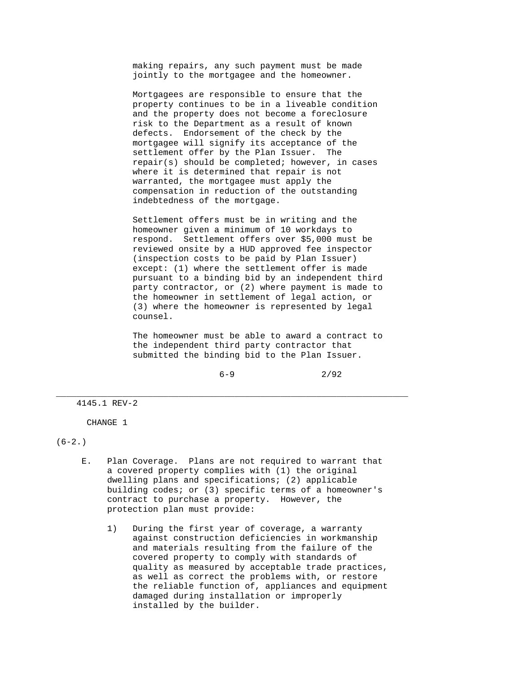making repairs, any such payment must be made jointly to the mortgagee and the homeowner.

 Mortgagees are responsible to ensure that the property continues to be in a liveable condition and the property does not become a foreclosure risk to the Department as a result of known defects. Endorsement of the check by the mortgagee will signify its acceptance of the settlement offer by the Plan Issuer. The repair(s) should be completed; however, in cases where it is determined that repair is not warranted, the mortgagee must apply the compensation in reduction of the outstanding indebtedness of the mortgage.

 Settlement offers must be in writing and the homeowner given a minimum of 10 workdays to respond. Settlement offers over \$5,000 must be reviewed onsite by a HUD approved fee inspector (inspection costs to be paid by Plan Issuer) except: (1) where the settlement offer is made pursuant to a binding bid by an independent third party contractor, or (2) where payment is made to the homeowner in settlement of legal action, or (3) where the homeowner is represented by legal counsel.

 The homeowner must be able to award a contract to the independent third party contractor that submitted the binding bid to the Plan Issuer.

 $6-9$  2/92

4145.1 REV-2

CHANGE 1

 $(6-2.)$ 

 E. Plan Coverage. Plans are not required to warrant that a covered property complies with (1) the original dwelling plans and specifications; (2) applicable building codes; or (3) specific terms of a homeowner's contract to purchase a property. However, the protection plan must provide:

\_\_\_\_\_\_\_\_\_\_\_\_\_\_\_\_\_\_\_\_\_\_\_\_\_\_\_\_\_\_\_\_\_\_\_\_\_\_\_\_\_\_\_\_\_\_\_\_\_\_\_\_\_\_\_\_\_\_\_\_\_\_\_\_\_\_\_\_\_

 1) During the first year of coverage, a warranty against construction deficiencies in workmanship and materials resulting from the failure of the covered property to comply with standards of quality as measured by acceptable trade practices, as well as correct the problems with, or restore the reliable function of, appliances and equipment damaged during installation or improperly installed by the builder.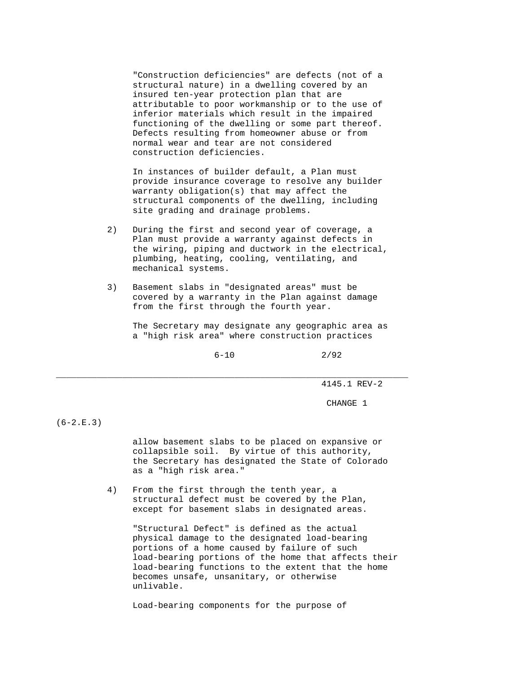"Construction deficiencies" are defects (not of a structural nature) in a dwelling covered by an insured ten-year protection plan that are attributable to poor workmanship or to the use of inferior materials which result in the impaired functioning of the dwelling or some part thereof. Defects resulting from homeowner abuse or from normal wear and tear are not considered construction deficiencies.

 In instances of builder default, a Plan must provide insurance coverage to resolve any builder warranty obligation(s) that may affect the structural components of the dwelling, including site grading and drainage problems.

- 2) During the first and second year of coverage, a Plan must provide a warranty against defects in the wiring, piping and ductwork in the electrical, plumbing, heating, cooling, ventilating, and mechanical systems.
- 3) Basement slabs in "designated areas" must be covered by a warranty in the Plan against damage from the first through the fourth year.

\_\_\_\_\_\_\_\_\_\_\_\_\_\_\_\_\_\_\_\_\_\_\_\_\_\_\_\_\_\_\_\_\_\_\_\_\_\_\_\_\_\_\_\_\_\_\_\_\_\_\_\_\_\_\_\_\_\_\_\_\_\_\_\_\_\_\_\_\_

 The Secretary may designate any geographic area as a "high risk area" where construction practices

 $6-10$  2/92

4145.1 REV-2

CHANGE 1

 $(6-2.E.3)$ 

 allow basement slabs to be placed on expansive or collapsible soil. By virtue of this authority, the Secretary has designated the State of Colorado as a "high risk area."

 4) From the first through the tenth year, a structural defect must be covered by the Plan, except for basement slabs in designated areas.

 "Structural Defect" is defined as the actual physical damage to the designated load-bearing portions of a home caused by failure of such load-bearing portions of the home that affects their load-bearing functions to the extent that the home becomes unsafe, unsanitary, or otherwise unlivable.

Load-bearing components for the purpose of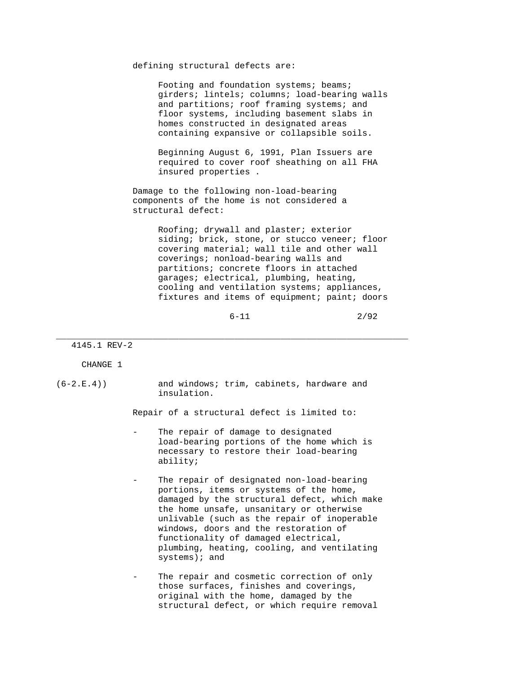defining structural defects are:

Footing and foundation systems; beams; girders; lintels; columns; load-bearing walls and partitions; roof framing systems; and floor systems, including basement slabs in homes constructed in designated areas containing expansive or collapsible soils.

 Beginning August 6, 1991, Plan Issuers are required to cover roof sheathing on all FHA insured properties .

 Damage to the following non-load-bearing components of the home is not considered a structural defect:

> Roofing; drywall and plaster; exterior siding; brick, stone, or stucco veneer; floor covering material; wall tile and other wall coverings; nonload-bearing walls and partitions; concrete floors in attached garages; electrical, plumbing, heating, cooling and ventilation systems; appliances, fixtures and items of equipment; paint; doors

 $6-11$  2/92

4145.1 REV-2

CHANGE 1

(6-2.E.4)) and windows; trim, cabinets, hardware and insulation.

Repair of a structural defect is limited to:

\_\_\_\_\_\_\_\_\_\_\_\_\_\_\_\_\_\_\_\_\_\_\_\_\_\_\_\_\_\_\_\_\_\_\_\_\_\_\_\_\_\_\_\_\_\_\_\_\_\_\_\_\_\_\_\_\_\_\_\_\_\_\_\_\_\_\_\_\_

- The repair of damage to designated load-bearing portions of the home which is necessary to restore their load-bearing ability;
- The repair of designated non-load-bearing portions, items or systems of the home, damaged by the structural defect, which make the home unsafe, unsanitary or otherwise unlivable (such as the repair of inoperable windows, doors and the restoration of functionality of damaged electrical, plumbing, heating, cooling, and ventilating systems); and
- The repair and cosmetic correction of only those surfaces, finishes and coverings, original with the home, damaged by the structural defect, or which require removal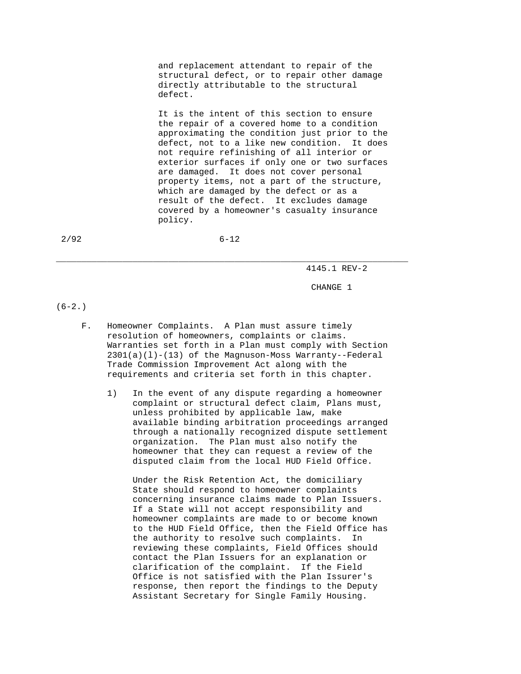and replacement attendant to repair of the structural defect, or to repair other damage directly attributable to the structural defect.

 It is the intent of this section to ensure the repair of a covered home to a condition approximating the condition just prior to the defect, not to a like new condition. It does not require refinishing of all interior or exterior surfaces if only one or two surfaces are damaged. It does not cover personal property items, not a part of the structure, which are damaged by the defect or as a result of the defect. It excludes damage covered by a homeowner's casualty insurance policy.

2/92 6-12

\_\_\_\_\_\_\_\_\_\_\_\_\_\_\_\_\_\_\_\_\_\_\_\_\_\_\_\_\_\_\_\_\_\_\_\_\_\_\_\_\_\_\_\_\_\_\_\_\_\_\_\_\_\_\_\_\_\_\_\_\_\_\_\_\_\_\_\_\_

4145.1 REV-2

CHANGE 1

 $(6-2.)$ 

- F. Homeowner Complaints. A Plan must assure timely resolution of homeowners, complaints or claims. Warranties set forth in a Plan must comply with Section  $2301(a)(1)-(13)$  of the Magnuson-Moss Warranty--Federal Trade Commission Improvement Act along with the requirements and criteria set forth in this chapter.
	- 1) In the event of any dispute regarding a homeowner complaint or structural defect claim, Plans must, unless prohibited by applicable law, make available binding arbitration proceedings arranged through a nationally recognized dispute settlement organization. The Plan must also notify the homeowner that they can request a review of the disputed claim from the local HUD Field Office.

 Under the Risk Retention Act, the domiciliary State should respond to homeowner complaints concerning insurance claims made to Plan Issuers. If a State will not accept responsibility and homeowner complaints are made to or become known to the HUD Field Office, then the Field Office has the authority to resolve such complaints. In reviewing these complaints, Field Offices should contact the Plan Issuers for an explanation or clarification of the complaint. If the Field Office is not satisfied with the Plan Issurer's response, then report the findings to the Deputy Assistant Secretary for Single Family Housing.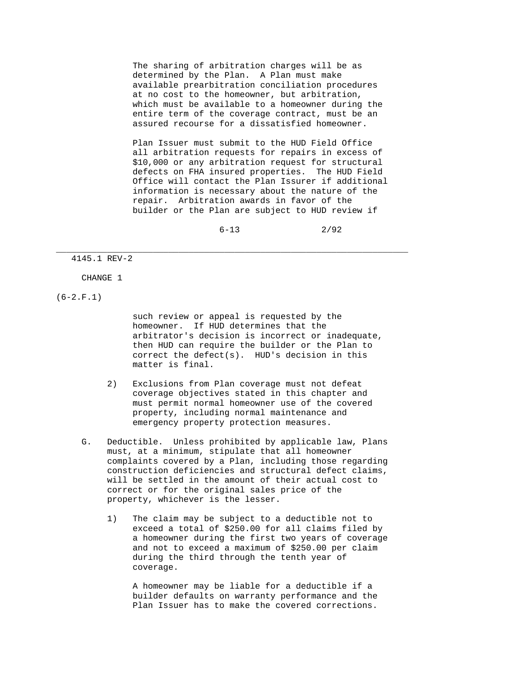The sharing of arbitration charges will be as determined by the Plan. A Plan must make available prearbitration conciliation procedures at no cost to the homeowner, but arbitration, which must be available to a homeowner during the entire term of the coverage contract, must be an assured recourse for a dissatisfied homeowner.

 Plan Issuer must submit to the HUD Field Office all arbitration requests for repairs in excess of \$10,000 or any arbitration request for structural defects on FHA insured properties. The HUD Field Office will contact the Plan Issurer if additional information is necessary about the nature of the repair. Arbitration awards in favor of the builder or the Plan are subject to HUD review if

 $6-13$  2/92

## 4145.1 REV-2

## CHANGE 1

 $(6-2.F.1)$ 

 such review or appeal is requested by the homeowner. If HUD determines that the arbitrator's decision is incorrect or inadequate, then HUD can require the builder or the Plan to correct the defect(s). HUD's decision in this matter is final.

 2) Exclusions from Plan coverage must not defeat coverage objectives stated in this chapter and must permit normal homeowner use of the covered property, including normal maintenance and emergency property protection measures.

\_\_\_\_\_\_\_\_\_\_\_\_\_\_\_\_\_\_\_\_\_\_\_\_\_\_\_\_\_\_\_\_\_\_\_\_\_\_\_\_\_\_\_\_\_\_\_\_\_\_\_\_\_\_\_\_\_\_\_\_\_\_\_\_\_\_\_\_\_

- G. Deductible. Unless prohibited by applicable law, Plans must, at a minimum, stipulate that all homeowner complaints covered by a Plan, including those regarding construction deficiencies and structural defect claims, will be settled in the amount of their actual cost to correct or for the original sales price of the property, whichever is the lesser.
	- 1) The claim may be subject to a deductible not to exceed a total of \$250.00 for all claims filed by a homeowner during the first two years of coverage and not to exceed a maximum of \$250.00 per claim during the third through the tenth year of coverage.

 A homeowner may be liable for a deductible if a builder defaults on warranty performance and the Plan Issuer has to make the covered corrections.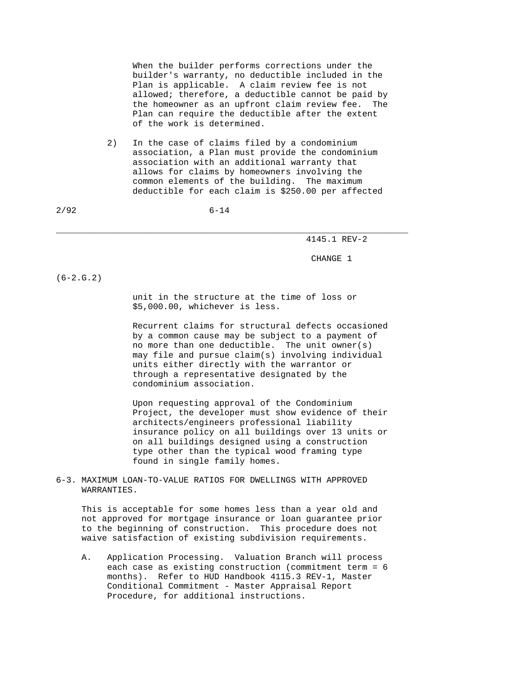When the builder performs corrections under the builder's warranty, no deductible included in the Plan is applicable. A claim review fee is not allowed; therefore, a deductible cannot be paid by the homeowner as an upfront claim review fee. The Plan can require the deductible after the extent of the work is determined.

 2) In the case of claims filed by a condominium association, a Plan must provide the condominium association with an additional warranty that allows for claims by homeowners involving the common elements of the building. The maximum deductible for each claim is \$250.00 per affected

2/92 6-14

\_\_\_\_\_\_\_\_\_\_\_\_\_\_\_\_\_\_\_\_\_\_\_\_\_\_\_\_\_\_\_\_\_\_\_\_\_\_\_\_\_\_\_\_\_\_\_\_\_\_\_\_\_\_\_\_\_\_\_\_\_\_\_\_\_\_\_\_\_

4145.1 REV-2

CHANGE 1

 $(6-2.G.2)$ 

 unit in the structure at the time of loss or \$5,000.00, whichever is less.

 Recurrent claims for structural defects occasioned by a common cause may be subject to a payment of no more than one deductible. The unit owner(s) may file and pursue claim(s) involving individual units either directly with the warrantor or through a representative designated by the condominium association.

 Upon requesting approval of the Condominium Project, the developer must show evidence of their architects/engineers professional liability insurance policy on all buildings over 13 units or on all buildings designed using a construction type other than the typical wood framing type found in single family homes.

6-3. MAXIMUM LOAN-TO-VALUE RATIOS FOR DWELLINGS WITH APPROVED WARRANTIES.

 This is acceptable for some homes less than a year old and not approved for mortgage insurance or loan guarantee prior to the beginning of construction. This procedure does not waive satisfaction of existing subdivision requirements.

 A. Application Processing. Valuation Branch will process each case as existing construction (commitment term = 6 months). Refer to HUD Handbook 4115.3 REV-1, Master Conditional Commitment - Master Appraisal Report Procedure, for additional instructions.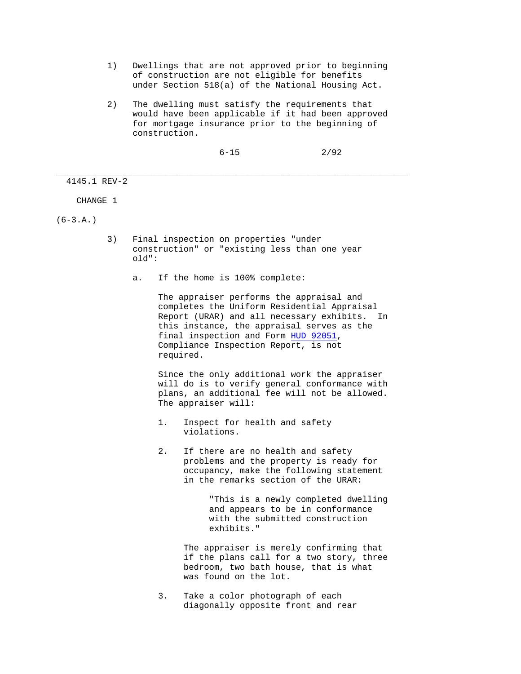- 1) Dwellings that are not approved prior to beginning of construction are not eligible for benefits under Section 518(a) of the National Housing Act.
- 2) The dwelling must satisfy the requirements that would have been applicable if it had been approved for mortgage insurance prior to the beginning of construction.

 $6-15$  2/92

4145.1 REV-2

CHANGE 1

 $(6-3.A.)$ 

 3) Final inspection on properties "under construction" or "existing less than one year old":

\_\_\_\_\_\_\_\_\_\_\_\_\_\_\_\_\_\_\_\_\_\_\_\_\_\_\_\_\_\_\_\_\_\_\_\_\_\_\_\_\_\_\_\_\_\_\_\_\_\_\_\_\_\_\_\_\_\_\_\_\_\_\_\_\_\_\_\_\_

a. If the home is 100% complete:

 The appraiser performs the appraisal and completes the Uniform Residential Appraisal Report (URAR) and all necessary exhibits. In this instance, the appraisal serves as the final inspection and Form HUD 92051, Compliance Inspection Report, is not required.

 Since the only additional work the appraiser will do is to verify general conformance with plans, an additional fee will not be allowed. The appraiser will:

- 1. Inspect for health and safety violations.
- 2. If there are no health and safety problems and the property is ready for occupancy, make the following statement in the remarks section of the URAR:

 "This is a newly completed dwelling and appears to be in conformance with the submitted construction exhibits."

 The appraiser is merely confirming that if the plans call for a two story, three bedroom, two bath house, that is what was found on the lot.

 3. Take a color photograph of each diagonally opposite front and rear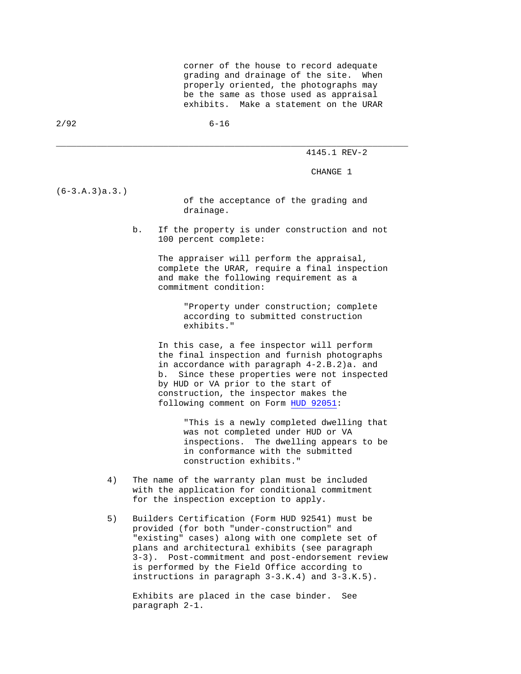corner of the house to record adequate grading and drainage of the site. When properly oriented, the photographs may be the same as those used as appraisal exhibits. Make a statement on the URAR

2/92 6-16

\_\_\_\_\_\_\_\_\_\_\_\_\_\_\_\_\_\_\_\_\_\_\_\_\_\_\_\_\_\_\_\_\_\_\_\_\_\_\_\_\_\_\_\_\_\_\_\_\_\_\_\_\_\_\_\_\_\_\_\_\_\_\_\_\_\_\_\_\_

4145.1 REV-2

CHANGE 1

(6-3.A.3)a.3.)

 of the acceptance of the grading and drainage.

 b. If the property is under construction and not 100 percent complete:

> The appraiser will perform the appraisal, complete the URAR, require a final inspection and make the following requirement as a commitment condition:

> > "Property under construction; complete according to submitted construction exhibits."

 In this case, a fee inspector will perform the final inspection and furnish photographs in accordance with paragraph 4-2.B.2)a. and b. Since these properties were not inspected by HUD or VA prior to the start of construction, the inspector makes the following comment on Form HUD 92051:

> "This is a newly completed dwelling that was not completed under HUD or VA inspections. The dwelling appears to be in conformance with the submitted construction exhibits."

- 4) The name of the warranty plan must be included with the application for conditional commitment for the inspection exception to apply.
- 5) Builders Certification (Form HUD 92541) must be provided (for both "under-construction" and "existing" cases) along with one complete set of plans and architectural exhibits (see paragraph 3-3). Post-commitment and post-endorsement review is performed by the Field Office according to instructions in paragraph 3-3.K.4) and 3-3.K.5).

 Exhibits are placed in the case binder. See paragraph 2-1.